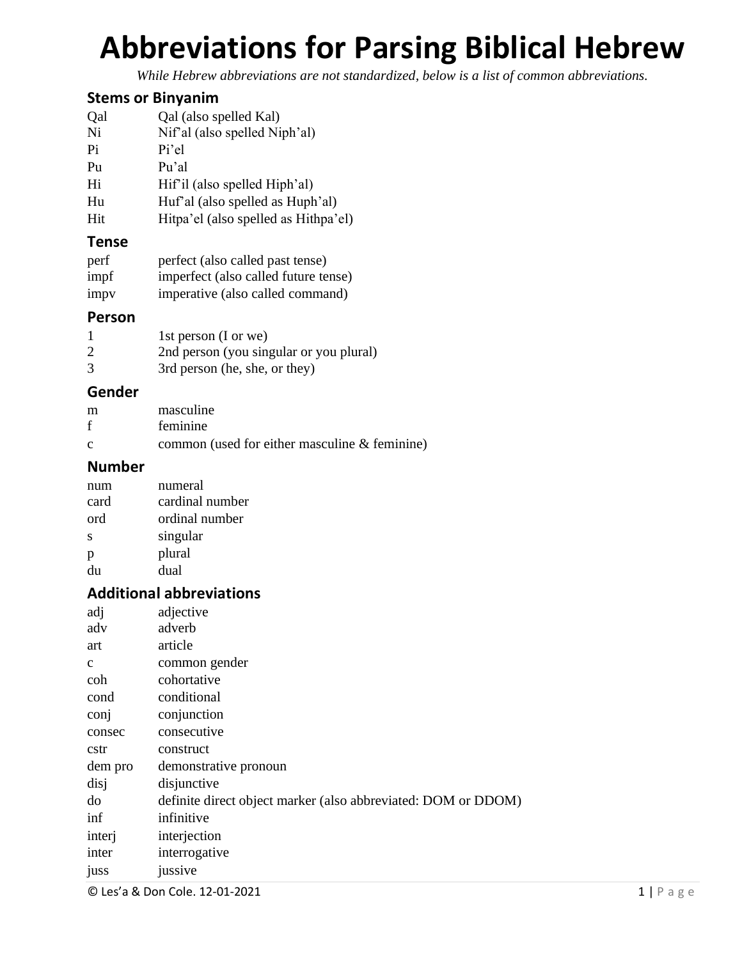# **Abbreviations for Parsing Biblical Hebrew**

*While Hebrew abbreviations are not standardized, below is a list of common abbreviations.*

#### **Stems or Binyanim**

| Qal | Qal (also spelled Kal)        |
|-----|-------------------------------|
| Ni  | Nif'al (also spelled Niph'al) |
| Pi  | Pi'el                         |

Pu Pu'al

Hi Hif'il (also spelled Hiph'al)

Hu Huf'al (also spelled as Huph'al)

Hit Hitpa'el (also spelled as Hithpa'el)

#### **Tense**

| perf | perfect (also called past tense)     |
|------|--------------------------------------|
| impf | imperfect (also called future tense) |
| impv | imperative (also called command)     |

#### **Person**

|   | 1st person (I or we)                    |
|---|-----------------------------------------|
|   | 2nd person (you singular or you plural) |
| 3 | 3rd person (he, she, or they)           |

#### **Gender**

| m            | masculine                                        |
|--------------|--------------------------------------------------|
| f            | feminine                                         |
| $\mathbf{c}$ | common (used for either masculine $\&$ feminine) |

### **Number**

| num  | numeral         |
|------|-----------------|
| card | cardinal number |
| ord  | ordinal number  |
| S    | singular        |
| р    | plural          |
| du   | dual            |

## **Additional abbreviations**

| adj          | adjective                                                     |
|--------------|---------------------------------------------------------------|
| adv          | adverb                                                        |
| art          | article                                                       |
| $\mathbf{c}$ | common gender                                                 |
| coh          | cohortative                                                   |
| cond         | conditional                                                   |
| con          | conjunction                                                   |
| consec       | consecutive                                                   |
| cstr         | construct                                                     |
| dem pro      | demonstrative pronoun                                         |
| disj         | disjunctive                                                   |
| do           | definite direct object marker (also abbreviated: DOM or DDOM) |
| inf          | infinitive                                                    |
| interj       | interjection                                                  |
| inter        | interrogative                                                 |
| <b>JUSS</b>  | jussive                                                       |